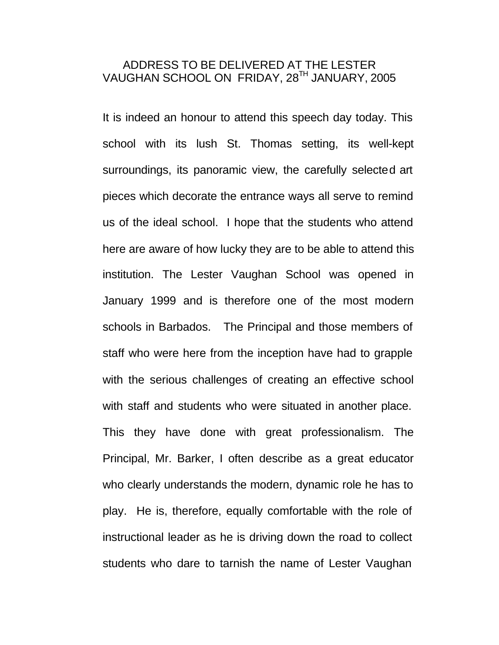## ADDRESS TO BE DELIVERED AT THE LESTER VAUGHAN SCHOOL ON FRIDAY, 28TH JANUARY, 2005

It is indeed an honour to attend this speech day today. This school with its lush St. Thomas setting, its well-kept surroundings, its panoramic view, the carefully selected art pieces which decorate the entrance ways all serve to remind us of the ideal school. I hope that the students who attend here are aware of how lucky they are to be able to attend this institution. The Lester Vaughan School was opened in January 1999 and is therefore one of the most modern schools in Barbados. The Principal and those members of staff who were here from the inception have had to grapple with the serious challenges of creating an effective school with staff and students who were situated in another place. This they have done with great professionalism. The Principal, Mr. Barker, I often describe as a great educator who clearly understands the modern, dynamic role he has to play. He is, therefore, equally comfortable with the role of instructional leader as he is driving down the road to collect students who dare to tarnish the name of Lester Vaughan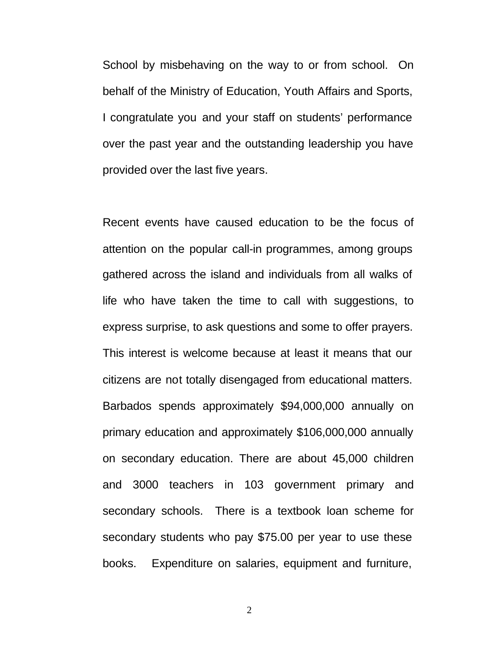School by misbehaving on the way to or from school. On behalf of the Ministry of Education, Youth Affairs and Sports, I congratulate you and your staff on students' performance over the past year and the outstanding leadership you have provided over the last five years.

Recent events have caused education to be the focus of attention on the popular call-in programmes, among groups gathered across the island and individuals from all walks of life who have taken the time to call with suggestions, to express surprise, to ask questions and some to offer prayers. This interest is welcome because at least it means that our citizens are not totally disengaged from educational matters. Barbados spends approximately \$94,000,000 annually on primary education and approximately \$106,000,000 annually on secondary education. There are about 45,000 children and 3000 teachers in 103 government primary and secondary schools. There is a textbook loan scheme for secondary students who pay \$75.00 per year to use these books. Expenditure on salaries, equipment and furniture,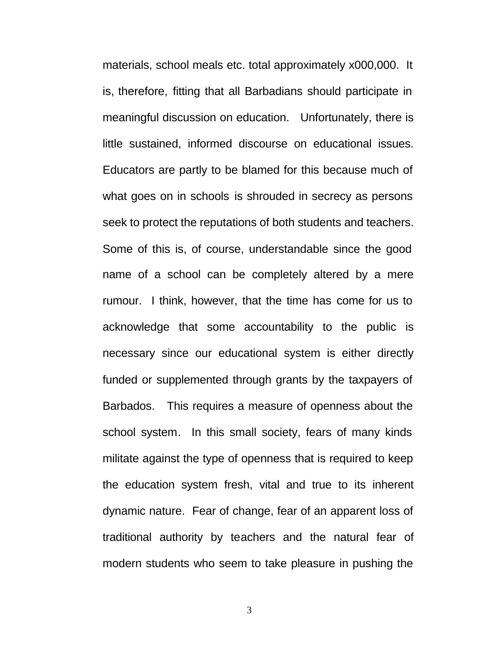materials, school meals etc. total approximately x000,000. It is, therefore, fitting that all Barbadians should participate in meaningful discussion on education. Unfortunately, there is little sustained, informed discourse on educational issues. Educators are partly to be blamed for this because much of what goes on in schools is shrouded in secrecy as persons seek to protect the reputations of both students and teachers. Some of this is, of course, understandable since the good name of a school can be completely altered by a mere rumour. I think, however, that the time has come for us to acknowledge that some accountability to the public is necessary since our educational system is either directly funded or supplemented through grants by the taxpayers of Barbados. This requires a measure of openness about the school system. In this small society, fears of many kinds militate against the type of openness that is required to keep the education system fresh, vital and true to its inherent dynamic nature. Fear of change, fear of an apparent loss of traditional authority by teachers and the natural fear of modern students who seem to take pleasure in pushing the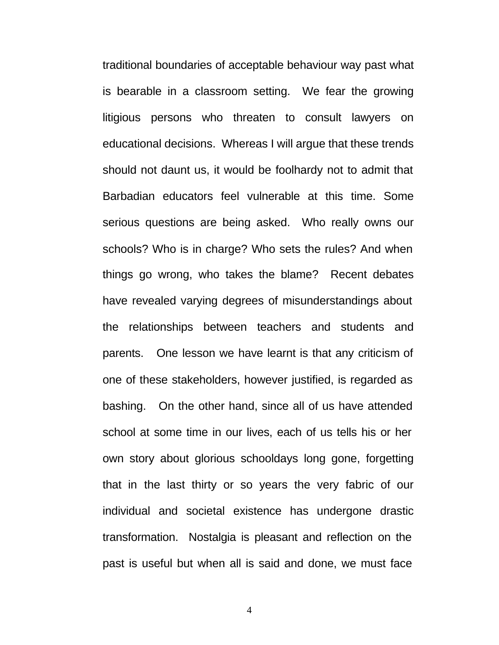traditional boundaries of acceptable behaviour way past what is bearable in a classroom setting. We fear the growing litigious persons who threaten to consult lawyers on educational decisions. Whereas I will argue that these trends should not daunt us, it would be foolhardy not to admit that Barbadian educators feel vulnerable at this time. Some serious questions are being asked. Who really owns our schools? Who is in charge? Who sets the rules? And when things go wrong, who takes the blame? Recent debates have revealed varying degrees of misunderstandings about the relationships between teachers and students and parents. One lesson we have learnt is that any criticism of one of these stakeholders, however justified, is regarded as bashing. On the other hand, since all of us have attended school at some time in our lives, each of us tells his or her own story about glorious schooldays long gone, forgetting that in the last thirty or so years the very fabric of our individual and societal existence has undergone drastic transformation. Nostalgia is pleasant and reflection on the past is useful but when all is said and done, we must face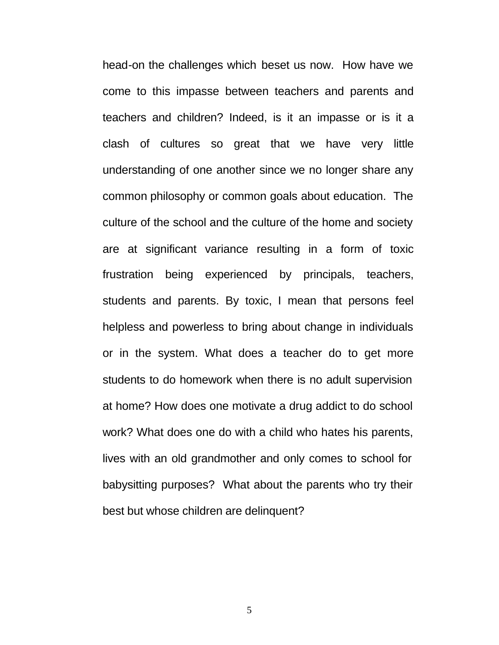head-on the challenges which beset us now. How have we come to this impasse between teachers and parents and teachers and children? Indeed, is it an impasse or is it a clash of cultures so great that we have very little understanding of one another since we no longer share any common philosophy or common goals about education. The culture of the school and the culture of the home and society are at significant variance resulting in a form of toxic frustration being experienced by principals, teachers, students and parents. By toxic, I mean that persons feel helpless and powerless to bring about change in individuals or in the system. What does a teacher do to get more students to do homework when there is no adult supervision at home? How does one motivate a drug addict to do school work? What does one do with a child who hates his parents, lives with an old grandmother and only comes to school for babysitting purposes? What about the parents who try their best but whose children are delinquent?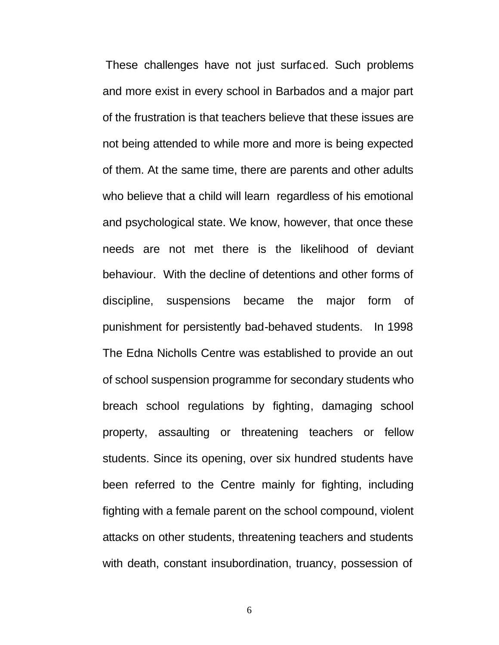These challenges have not just surfaced. Such problems and more exist in every school in Barbados and a major part of the frustration is that teachers believe that these issues are not being attended to while more and more is being expected of them. At the same time, there are parents and other adults who believe that a child will learn regardless of his emotional and psychological state. We know, however, that once these needs are not met there is the likelihood of deviant behaviour. With the decline of detentions and other forms of discipline, suspensions became the major form of punishment for persistently bad-behaved students. In 1998 The Edna Nicholls Centre was established to provide an out of school suspension programme for secondary students who breach school regulations by fighting, damaging school property, assaulting or threatening teachers or fellow students. Since its opening, over six hundred students have been referred to the Centre mainly for fighting, including fighting with a female parent on the school compound, violent attacks on other students, threatening teachers and students with death, constant insubordination, truancy, possession of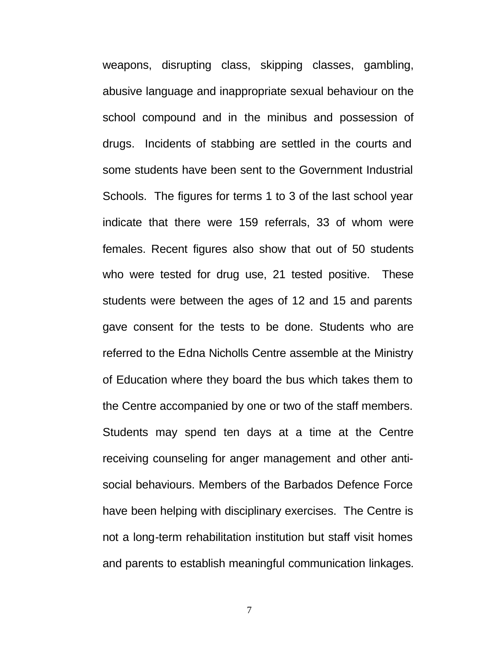weapons, disrupting class, skipping classes, gambling, abusive language and inappropriate sexual behaviour on the school compound and in the minibus and possession of drugs. Incidents of stabbing are settled in the courts and some students have been sent to the Government Industrial Schools. The figures for terms 1 to 3 of the last school year indicate that there were 159 referrals, 33 of whom were females. Recent figures also show that out of 50 students who were tested for drug use, 21 tested positive. These students were between the ages of 12 and 15 and parents gave consent for the tests to be done. Students who are referred to the Edna Nicholls Centre assemble at the Ministry of Education where they board the bus which takes them to the Centre accompanied by one or two of the staff members. Students may spend ten days at a time at the Centre receiving counseling for anger management and other antisocial behaviours. Members of the Barbados Defence Force have been helping with disciplinary exercises. The Centre is not a long-term rehabilitation institution but staff visit homes and parents to establish meaningful communication linkages.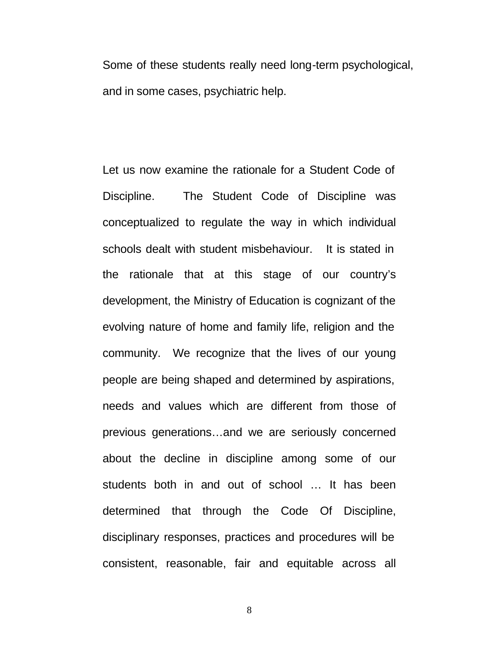Some of these students really need long-term psychological, and in some cases, psychiatric help.

Let us now examine the rationale for a Student Code of Discipline. The Student Code of Discipline was conceptualized to regulate the way in which individual schools dealt with student misbehaviour. It is stated in the rationale that at this stage of our country's development, the Ministry of Education is cognizant of the evolving nature of home and family life, religion and the community. We recognize that the lives of our young people are being shaped and determined by aspirations, needs and values which are different from those of previous generations…and we are seriously concerned about the decline in discipline among some of our students both in and out of school … It has been determined that through the Code Of Discipline, disciplinary responses, practices and procedures will be consistent, reasonable, fair and equitable across all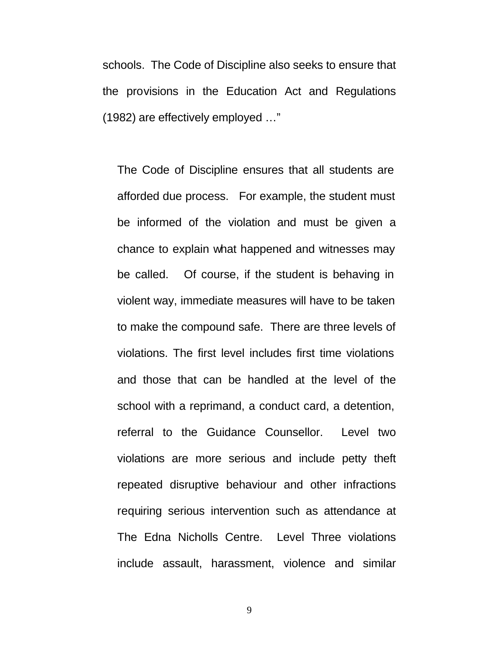schools. The Code of Discipline also seeks to ensure that the provisions in the Education Act and Regulations (1982) are effectively employed …"

The Code of Discipline ensures that all students are afforded due process. For example, the student must be informed of the violation and must be given a chance to explain what happened and witnesses may be called. Of course, if the student is behaving in violent way, immediate measures will have to be taken to make the compound safe. There are three levels of violations. The first level includes first time violations and those that can be handled at the level of the school with a reprimand, a conduct card, a detention, referral to the Guidance Counsellor. Level two violations are more serious and include petty theft repeated disruptive behaviour and other infractions requiring serious intervention such as attendance at The Edna Nicholls Centre. Level Three violations include assault, harassment, violence and similar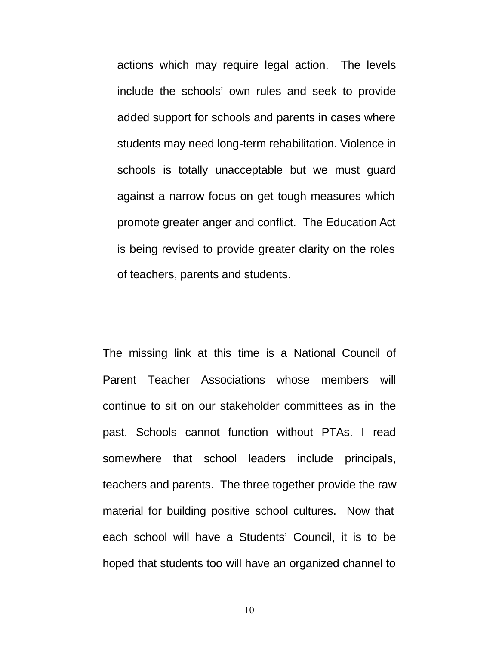actions which may require legal action. The levels include the schools' own rules and seek to provide added support for schools and parents in cases where students may need long-term rehabilitation. Violence in schools is totally unacceptable but we must guard against a narrow focus on get tough measures which promote greater anger and conflict. The Education Act is being revised to provide greater clarity on the roles of teachers, parents and students.

The missing link at this time is a National Council of Parent Teacher Associations whose members will continue to sit on our stakeholder committees as in the past. Schools cannot function without PTAs. I read somewhere that school leaders include principals, teachers and parents. The three together provide the raw material for building positive school cultures. Now that each school will have a Students' Council, it is to be hoped that students too will have an organized channel to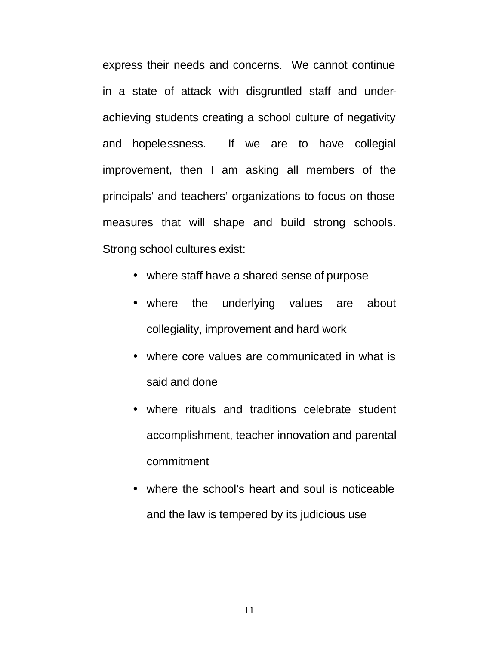express their needs and concerns. We cannot continue in a state of attack with disgruntled staff and underachieving students creating a school culture of negativity and hopelessness. If we are to have collegial improvement, then I am asking all members of the principals' and teachers' organizations to focus on those measures that will shape and build strong schools. Strong school cultures exist:

- where staff have a shared sense of purpose
- where the underlying values are about collegiality, improvement and hard work
- where core values are communicated in what is said and done
- where rituals and traditions celebrate student accomplishment, teacher innovation and parental commitment
- where the school's heart and soul is noticeable and the law is tempered by its judicious use